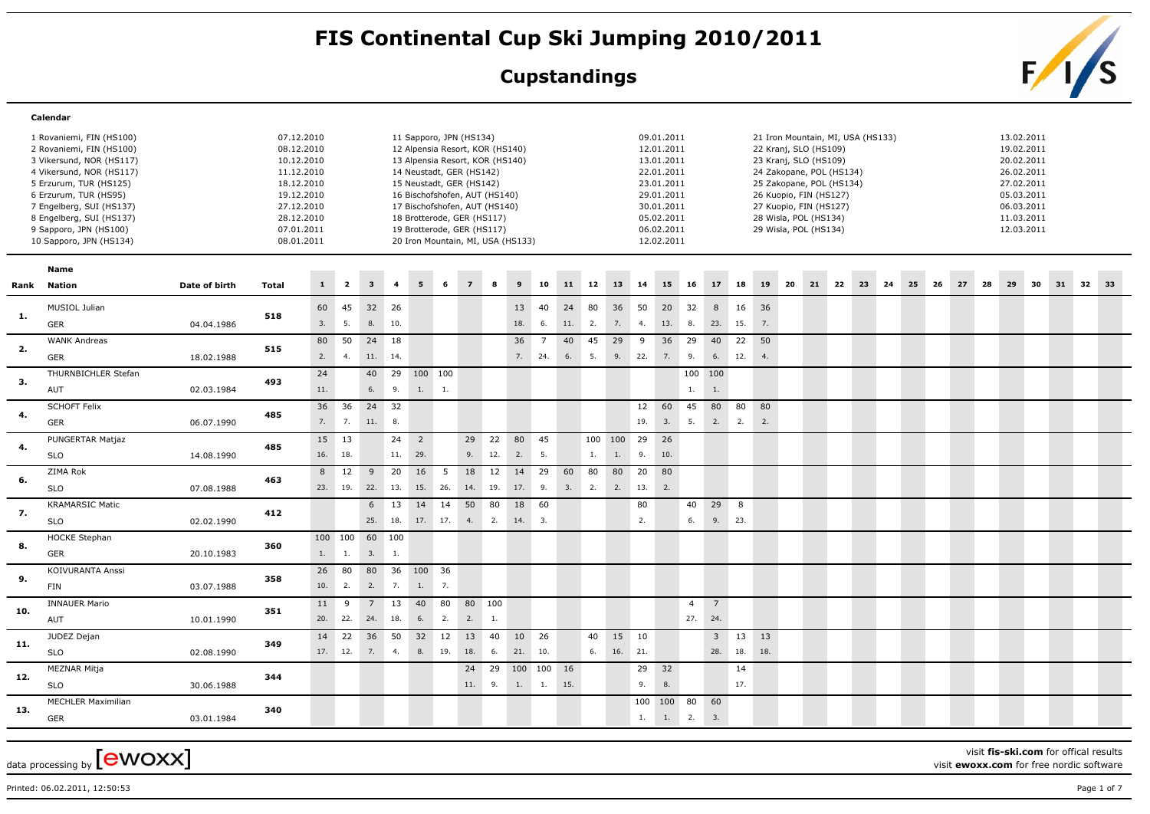## FIS Continental Cup Ski Jumping 2010/2011<br>Cupstandings<br>Family S

## **Cupstandings**



|     | Calendar                  |               |              |     |                         |                         |                |                                   |     |                |          |                  |                |     |       |              |       |            |                |                |          |     |    |                                   |       |  |       |    |    |            |    |          |  |
|-----|---------------------------|---------------|--------------|-----|-------------------------|-------------------------|----------------|-----------------------------------|-----|----------------|----------|------------------|----------------|-----|-------|--------------|-------|------------|----------------|----------------|----------|-----|----|-----------------------------------|-------|--|-------|----|----|------------|----|----------|--|
|     | 1 Rovaniemi, FIN (HS100)  |               | 07.12.2010   |     |                         |                         |                | 11 Sapporo, JPN (HS134)           |     |                |          |                  |                |     |       |              |       | 09.01.2011 |                |                |          |     |    | 21 Iron Mountain, MI, USA (HS133) |       |  |       |    |    | 13.02.2011 |    |          |  |
|     | 2 Rovaniemi, FIN (HS100)  |               | 08.12.2010   |     |                         |                         |                | 12 Alpensia Resort, KOR (HS140)   |     |                |          |                  |                |     |       |              |       | 12.01.2011 |                |                |          |     |    | 22 Kranj, SLO (HS109)             |       |  |       |    |    | 19.02.2011 |    |          |  |
|     | 3 Vikersund, NOR (HS117)  |               | 10.12.2010   |     |                         |                         |                | 13 Alpensia Resort, KOR (HS140)   |     |                |          |                  |                |     |       |              |       | 13.01.2011 |                |                |          |     |    | 23 Kranj, SLO (HS109)             |       |  |       |    |    | 20.02.2011 |    |          |  |
|     | 4 Vikersund, NOR (HS117)  |               | 11.12.2010   |     |                         |                         |                | 14 Neustadt, GER (HS142)          |     |                |          |                  |                |     |       |              |       | 22.01.2011 |                |                |          |     |    | 24 Zakopane, POL (HS134)          |       |  |       |    |    | 26.02.2011 |    |          |  |
|     | 5 Erzurum, TUR (HS125)    |               | 18.12.2010   |     |                         |                         |                | 15 Neustadt, GER (HS142)          |     |                |          |                  |                |     |       |              |       | 23.01.2011 |                |                |          |     |    | 25 Zakopane, POL (HS134)          |       |  |       |    |    | 27.02.2011 |    |          |  |
|     | 6 Erzurum, TUR (HS95)     |               | 19.12.2010   |     |                         |                         |                | 16 Bischofshofen, AUT (HS140)     |     |                |          |                  |                |     |       |              |       | 29.01.2011 |                |                |          |     |    | 26 Kuopio, FIN (HS127)            |       |  |       |    |    | 05.03.2011 |    |          |  |
|     | 7 Engelberg, SUI (HS137)  |               | 27.12.2010   |     |                         |                         |                | 17 Bischofshofen, AUT (HS140)     |     |                |          |                  |                |     |       |              |       | 30.01.2011 |                |                |          |     |    | 27 Kuopio, FIN (HS127)            |       |  |       |    |    | 06.03.2011 |    |          |  |
|     | 8 Engelberg, SUI (HS137)  |               | 28.12.2010   |     |                         |                         |                | 18 Brotterode, GER (HS117)        |     |                |          |                  |                |     |       |              |       | 05.02.2011 |                |                |          |     |    | 28 Wisla, POL (HS134)             |       |  |       |    |    | 11.03.2011 |    |          |  |
|     | 9 Sapporo, JPN (HS100)    |               | 07.01.2011   |     |                         |                         |                | 19 Brotterode, GER (HS117)        |     |                |          |                  |                |     |       |              |       | 06.02.2011 |                |                |          |     |    | 29 Wisla, POL (HS134)             |       |  |       |    |    | 12.03.2011 |    |          |  |
|     | 10 Sapporo, JPN (HS134)   |               | 08.01.2011   |     |                         |                         |                | 20 Iron Mountain, MI, USA (HS133) |     |                |          |                  |                |     |       |              |       | 12.02.2011 |                |                |          |     |    |                                   |       |  |       |    |    |            |    |          |  |
|     | Name                      |               |              |     |                         |                         |                |                                   |     |                |          |                  |                |     |       |              |       |            |                |                |          |     |    |                                   |       |  |       |    |    |            |    |          |  |
|     | Rank Nation               | Date of birth | <b>Total</b> | 1   | $\overline{\mathbf{2}}$ | $\overline{\mathbf{3}}$ | $\overline{4}$ | 5                                 | 6   | 7 <sup>1</sup> | $\bf{s}$ | $\boldsymbol{9}$ | 10             |     | 11 12 | 13           | 14    | 15         | 16             | 17             | 18       | 19  | 20 | 21 22                             | 23 24 |  | 25 26 | 27 | 28 | 29         | 30 | 31 32 33 |  |
|     | MUSIOL Julian             |               |              | 60  | 45                      | 32 26                   |                |                                   |     |                |          | 13               | 40             | 24  | 80    | 36           | 50    | 20         | 32             | 8              | 16       | 36  |    |                                   |       |  |       |    |    |            |    |          |  |
| 1.  |                           |               | 518          |     |                         |                         |                |                                   |     |                |          |                  |                |     |       |              |       |            |                |                |          |     |    |                                   |       |  |       |    |    |            |    |          |  |
|     | <b>GER</b>                | 04.04.1986    |              | 3.  | 5.                      | 8.                      | 10.            |                                   |     |                |          | 18.              | 6.             | 11. | 2.    | 7.           | 4.    | 13. 8.     |                | 23.            | 15.      | 7.  |    |                                   |       |  |       |    |    |            |    |          |  |
| 2.  | <b>WANK Andreas</b>       |               | 515          | 80  | 50                      | 24                      | 18             |                                   |     |                |          | 36               | $\overline{7}$ | 40  | 45    | 29           | 9     | 36         | 29             | 40             | 22       | 50  |    |                                   |       |  |       |    |    |            |    |          |  |
|     | <b>GER</b>                | 18.02.1988    |              | 2.  | 4.                      | 11. 14.                 |                |                                   |     |                |          |                  | 7. 24.         | 6.  | 5.    |              |       | 9.22.7.    | 9.             | 6.             | 12.      | 4.  |    |                                   |       |  |       |    |    |            |    |          |  |
| 3.  | THURNBICHLER Stefan       |               | 493          | 24  |                         | 40                      |                | 29 100 100                        |     |                |          |                  |                |     |       |              |       |            |                | 100 100        |          |     |    |                                   |       |  |       |    |    |            |    |          |  |
|     | AUT                       | 02.03.1984    |              | 11. |                         | 6.                      | 9.             | $1. \qquad 1.$                    |     |                |          |                  |                |     |       |              |       |            | 1.             | 1.             |          |     |    |                                   |       |  |       |    |    |            |    |          |  |
|     | <b>SCHOFT Felix</b>       |               |              | 36  | 36                      | 24 32                   |                |                                   |     |                |          |                  |                |     |       |              | 12    | 60         | 45             | 80             | 80       | 80  |    |                                   |       |  |       |    |    |            |    |          |  |
| 4.  | GER                       | 06.07.1990    | 485          | 7.  | 7.                      | 11.                     | 8.             |                                   |     |                |          |                  |                |     |       |              | 19.   | 3.         | 5.             |                | 2.2.     | 2.  |    |                                   |       |  |       |    |    |            |    |          |  |
| 4.  | PUNGERTAR Matjaz          |               | 485          | 15  | 13                      |                         | $24 \quad 2$   |                                   |     | 29             | 22       | 80               | 45             |     |       | $100$ 100 29 |       | 26         |                |                |          |     |    |                                   |       |  |       |    |    |            |    |          |  |
|     | <b>SLO</b>                | 14.08.1990    |              |     | 16. 18.                 |                         | 11. 29.        |                                   |     | 9.             | 12.      | 2.               | 5.             |     | 1.    | 1.           | 9.    | 10.        |                |                |          |     |    |                                   |       |  |       |    |    |            |    |          |  |
|     | ZIMA Rok                  |               |              | 8   | 12                      | 9                       | 20             | 16                                | 5   | 18             | 12       | 14               | 29             | 60  | 80    | 80           | 20    | 80         |                |                |          |     |    |                                   |       |  |       |    |    |            |    |          |  |
| 6.  | <b>SLO</b>                | 07.08.1988    | 463          |     | 23. 19.                 | 22.                     | 13.            | 15.                               | 26. | 14.            | 19.      | 17.              | 9.             | 3.  | 2.    | 2.           | 13.   | 2.         |                |                |          |     |    |                                   |       |  |       |    |    |            |    |          |  |
|     | <b>KRAMARSIC Matic</b>    |               |              |     |                         | 6                       | 13             | 14                                | 14  | 50             | 80       | 18               | 60             |     |       |              | 80    |            | 40             | 29             | 8        |     |    |                                   |       |  |       |    |    |            |    |          |  |
| 7.  | <b>SLO</b>                | 02.02.1990    | 412          |     |                         | 25.                     | 18.            |                                   |     | 17. 17. 4. 2.  |          | 14.              | 3.             |     |       |              | 2.    |            | 6.             | 9.             | 23.      |     |    |                                   |       |  |       |    |    |            |    |          |  |
|     | <b>HOCKE Stephan</b>      |               |              |     | 100 100 60 100          |                         |                |                                   |     |                |          |                  |                |     |       |              |       |            |                |                |          |     |    |                                   |       |  |       |    |    |            |    |          |  |
| 8.  | <b>GER</b>                | 20.10.1983    | 360          | 1.  | 1.                      | 3.                      | 1.             |                                   |     |                |          |                  |                |     |       |              |       |            |                |                |          |     |    |                                   |       |  |       |    |    |            |    |          |  |
|     | KOIVURANTA Anssi          |               |              | 26  | 80                      | 80                      |                | 36 100 36                         |     |                |          |                  |                |     |       |              |       |            |                |                |          |     |    |                                   |       |  |       |    |    |            |    |          |  |
| 9.  | FIN                       | 03.07.1988    | 358          | 10. | 2.                      | 2.                      | 7.             | 1.                                | 7.  |                |          |                  |                |     |       |              |       |            |                |                |          |     |    |                                   |       |  |       |    |    |            |    |          |  |
|     |                           |               |              |     |                         |                         |                |                                   |     |                |          |                  |                |     |       |              |       |            |                |                |          |     |    |                                   |       |  |       |    |    |            |    |          |  |
| 10. | <b>INNAUER Mario</b>      |               | 351          | 11  | 9                       | $7\overline{ }$         | 13             | 40                                | 80  | 80 100         |          |                  |                |     |       |              |       |            | $\overline{4}$ | $\overline{7}$ |          |     |    |                                   |       |  |       |    |    |            |    |          |  |
|     | AUT                       | 10.01.1990    |              | 20. | 22.                     | 24.                     | 18.            | 6.                                | 2.  | 2.             | 1.       |                  |                |     |       |              |       |            |                | 27. 24.        |          |     |    |                                   |       |  |       |    |    |            |    |          |  |
|     | JUDEZ Dejan               |               |              | 14  | 22                      | 36                      |                | 50 32                             | 12  | 13             | 40       | 10               | 26             |     | 40    |              | 15 10 |            |                |                | $3 \t13$ | 13  |    |                                   |       |  |       |    |    |            |    |          |  |
| 11. | <b>SLO</b>                | 02.08.1990    | 349          |     | 17. 12.                 | 7.                      | 4.             | 8. 19.                            |     | 18.            | 6.       | 21.              | 10.            |     | 6.    | 16. 21.      |       |            |                | 28.            | 18.      | 18. |    |                                   |       |  |       |    |    |            |    |          |  |
|     | MEZNAR Mitja              |               |              |     |                         |                         |                |                                   |     |                | 24 29    | 100 100 16       |                |     |       |              | 29    | 32         |                |                | 14       |     |    |                                   |       |  |       |    |    |            |    |          |  |
| 12. | <b>SLO</b>                | 30.06.1988    | 344          |     |                         |                         |                |                                   |     | 11. 9.         |          | 1.               | 1.             | 15. |       |              | 9.    | 8.         |                |                | 17.      |     |    |                                   |       |  |       |    |    |            |    |          |  |
|     | <b>MECHLER Maximilian</b> |               |              |     |                         |                         |                |                                   |     |                |          |                  |                |     |       |              | 100   | 100 80     |                | 60             |          |     |    |                                   |       |  |       |    |    |            |    |          |  |
| 13. | <b>GER</b>                | 03.01.1984    | 340          |     |                         |                         |                |                                   |     |                |          |                  |                |     |       |              | 1.    | 1.         | 2.             | 3.             |          |     |    |                                   |       |  |       |    |    |            |    |          |  |
|     |                           |               |              |     |                         |                         |                |                                   |     |                |          |                  |                |     |       |              |       |            |                |                |          |     |    |                                   |       |  |       |    |    |            |    |          |  |

data processing by  ${\rm [ewoxx]}$ 

visit **fis-ski.com** for offical results

visit **ewoxx.com** for free nordic software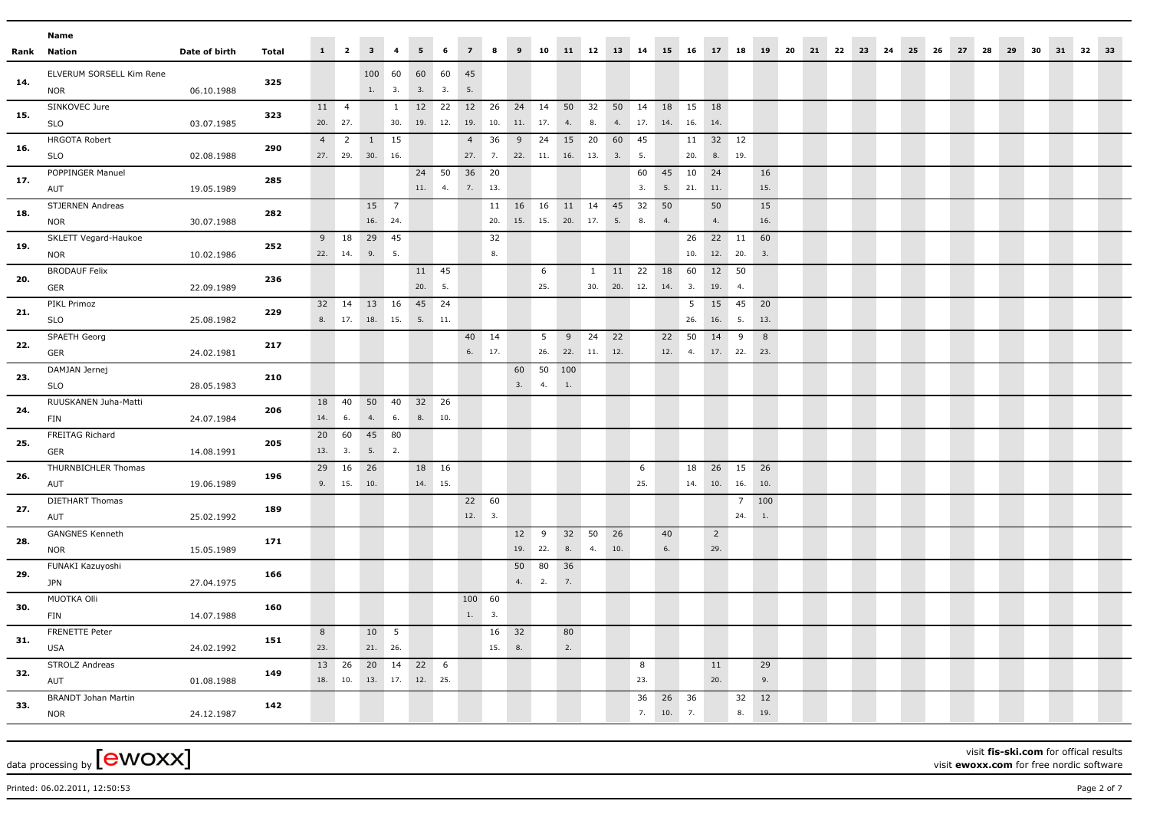|      | Name                                     |               |       |           |                  |                          |                     |                  |                  |                              |           |            |             |                                 |              |                   |              |                 |                        |                       |                    |                   |  |  |       |    |    |    |    |    |    |    |  |
|------|------------------------------------------|---------------|-------|-----------|------------------|--------------------------|---------------------|------------------|------------------|------------------------------|-----------|------------|-------------|---------------------------------|--------------|-------------------|--------------|-----------------|------------------------|-----------------------|--------------------|-------------------|--|--|-------|----|----|----|----|----|----|----|--|
| Rank | Nation                                   | Date of birth | Total |           | $1 \quad 2$      | 3 <sup>1</sup>           | $\overline{4}$      | 5 <sup>7</sup>   | 6                | 7 <sup>7</sup>               | 8         |            |             |                                 |              |                   |              |                 | 9 10 11 12 13 14 15 16 | 17 18                 |                    | 19 20 21 22 23 24 |  |  | 25 26 | 27 | 28 | 29 | 30 | 31 | 32 | 33 |  |
| 14.  | ELVERUM SORSELL Kim Rene<br><b>NOR</b>   | 06.10.1988    | 325   |           |                  | 100 60<br>1. 3.          |                     | 60 60<br>3. 3.   |                  | 45<br>5.                     |           |            |             |                                 |              |                   |              |                 |                        |                       |                    |                   |  |  |       |    |    |    |    |    |    |    |  |
| 15.  | SINKOVEC Jure<br>SLO                     | 03.07.1985    | 323   |           | 11 4<br>20. 27.  |                          | $\mathbf{1}$<br>30. | 12 22<br>19. 12. |                  | 12 26<br>19.                 | 10.       | 11. 17.    |             | 24 14 50 32<br>4.               | 8.           | 4.                | 50 14<br>17. | 18<br>14.       | 15<br>16.              | 18<br>14.             |                    |                   |  |  |       |    |    |    |    |    |    |    |  |
| 16.  | <b>HRGOTA Robert</b><br><b>SLO</b>       | 02.08.1988    | 290   | 4         | $\overline{2}$   | 1 15<br>27. 29. 30. 16.  |                     |                  |                  | 4                            | 36        | 9          | 24          | 15 20<br>27. 7. 22. 11. 16. 13. |              | 60<br>3.          | 45<br>5.     |                 | 20.                    | 11 32 12              | 8. 19.             |                   |  |  |       |    |    |    |    |    |    |    |  |
| 17.  | POPPINGER Manuel<br>AUT                  | 19.05.1989    | 285   |           |                  |                          |                     |                  | 24 50<br>11. 4.  | 36 20<br>7.13.               |           |            |             |                                 |              |                   | 60<br>3.     | 45<br>5.        | 10<br>21.              | 24<br>11.             |                    | 16<br>15.         |  |  |       |    |    |    |    |    |    |    |  |
| 18.  | STJERNEN Andreas<br><b>NOR</b>           | 30.07.1988    | 282   |           |                  | 15 7<br>16. 24.          |                     |                  |                  |                              |           | 11  16  16 |             | 11 14 45<br>20. 15. 15. 20. 17. |              | 5.                | 32<br>8.     | 50<br>4.        |                        | 50<br>4.              |                    | 15<br>16.         |  |  |       |    |    |    |    |    |    |    |  |
| 19.  | SKLETT Vegard-Haukoe<br><b>NOR</b>       | 10.02.1986    | 252   | 9         | 18<br>22. 14.    | 29 45<br>9.              | 5.                  |                  |                  |                              | 32<br>8.  |            |             |                                 |              |                   |              |                 | 26<br>10.              | 22 11<br>12. 20.      |                    | 60<br>3.          |  |  |       |    |    |    |    |    |    |    |  |
| 20.  | <b>BRODAUF Felix</b><br>GER              | 22.09.1989    | 236   |           |                  |                          |                     | 11 45<br>20.     | 5.               |                              |           |            | 6<br>25.    |                                 | $\mathbf{1}$ | 11<br>30. 20. 12. | 22           | 18<br>14.       | 60<br>3.               | 19.                   | 12 50<br>4.        |                   |  |  |       |    |    |    |    |    |    |    |  |
| 21.  | PIKL Primoz<br><b>SLO</b>                | 25.08.1982    | 229   | 32        | 14               | 13 16<br>8. 17. 18. 15.  |                     | 45 24<br>5.      | 11.              |                              |           |            |             |                                 |              |                   |              |                 | 5 <sup>5</sup><br>26.  | 15<br>16.             | 45<br>5.           | 20<br>13.         |  |  |       |    |    |    |    |    |    |    |  |
| 22.  | SPAETH Georg<br>GER                      | 24.02.1981    | 217   |           |                  |                          |                     |                  |                  | 40 14<br>6. 17.              |           |            | 5<br>26.    | 9<br>22. 11. 12.                | 24           | 22                |              | 22<br>12.       | 50<br>4.               | 14<br>17. 22.         | 9                  | 8<br>23.          |  |  |       |    |    |    |    |    |    |    |  |
| 23.  | DAMJAN Jernej<br><b>SLO</b>              | 28.05.1983    | 210   |           |                  |                          |                     |                  |                  |                              |           | 3.         | 60 50<br>4. | 100<br>1.                       |              |                   |              |                 |                        |                       |                    |                   |  |  |       |    |    |    |    |    |    |    |  |
| 24.  | RUUSKANEN Juha-Matti<br><b>FIN</b>       | 24.07.1984    | 206   | 18<br>14. | 40<br>6.         | 50<br>4.                 | 40<br>6.            | 32 26<br>8.      | 10.              |                              |           |            |             |                                 |              |                   |              |                 |                        |                       |                    |                   |  |  |       |    |    |    |    |    |    |    |  |
| 25.  | FREITAG Richard<br>GER                   | 14.08.1991    | 205   |           | 20 60<br>13. 3.  | 45<br>5. 2.              | 80                  |                  |                  |                              |           |            |             |                                 |              |                   |              |                 |                        |                       |                    |                   |  |  |       |    |    |    |    |    |    |    |  |
| 26.  | THURNBICHLER Thomas<br>AUT               | 19.06.1989    | 196   | 29        | 16<br>9. 15.     | 26<br>10.                |                     |                  | 18 16<br>14. 15. |                              |           |            |             |                                 |              |                   | 6<br>25.     |                 | 18<br>14.              | 26<br>10. 16.         | 15                 | 26<br>10.         |  |  |       |    |    |    |    |    |    |    |  |
| 27.  | DIETHART Thomas<br>AUT                   | 25.02.1992    | 189   |           |                  |                          |                     |                  |                  | $22 \overline{60}$<br>12. 3. |           |            |             |                                 |              |                   |              |                 |                        |                       | $7^{\circ}$<br>24. | 100<br>1.         |  |  |       |    |    |    |    |    |    |    |  |
| 28.  | <b>GANGNES Kenneth</b><br><b>NOR</b>     | 15.05.1989    | 171   |           |                  |                          |                     |                  |                  |                              |           | 12<br>19.  | 9<br>22.    | 32 50<br>8.                     | 4.           | 26<br>10.         |              | 40<br>6.        |                        | $\overline{2}$<br>29. |                    |                   |  |  |       |    |    |    |    |    |    |    |  |
| 29.  | FUNAKI Kazuyoshi<br><b>JPN</b>           | 27.04.1975    | 166   |           |                  |                          |                     |                  |                  |                              |           | 50 80      | 4. 2.       | 36<br>7.                        |              |                   |              |                 |                        |                       |                    |                   |  |  |       |    |    |    |    |    |    |    |  |
| 30.  | MUOTKA Olli<br><b>FIN</b>                | 14.07.1988    | 160   |           |                  |                          |                     |                  |                  | 100 60<br>$1. \qquad 3.$     |           |            |             |                                 |              |                   |              |                 |                        |                       |                    |                   |  |  |       |    |    |    |    |    |    |    |  |
| 31.  | FRENETTE Peter<br><b>USA</b>             | 24.02.1992    | 151   | 8<br>23.  |                  | 10 5<br>21. 26.          |                     |                  |                  |                              | 16<br>15. | 32<br>8.   |             | 80<br>2.                        |              |                   |              |                 |                        |                       |                    |                   |  |  |       |    |    |    |    |    |    |    |  |
| 32.  | <b>STROLZ Andreas</b><br>AUT             | 01.08.1988    | 149   |           | 13 26<br>18. 10. | 20 14<br>13. 17. 12. 25. |                     | 22 6             |                  |                              |           |            |             |                                 |              |                   | 8<br>23.     |                 |                        | 11<br>20.             |                    | 29<br>9.          |  |  |       |    |    |    |    |    |    |    |  |
| 33.  | <b>BRANDT Johan Martin</b><br><b>NOR</b> | 24.12.1987    | 142   |           |                  |                          |                     |                  |                  |                              |           |            |             |                                 |              |                   | 36           | 26<br>7. 10. 7. | 36                     |                       | 32<br>8.           | 12<br>19.         |  |  |       |    |    |    |    |    |    |    |  |

visit **fis-ski.com** for offical results visit **ewoxx.com** for free nordic software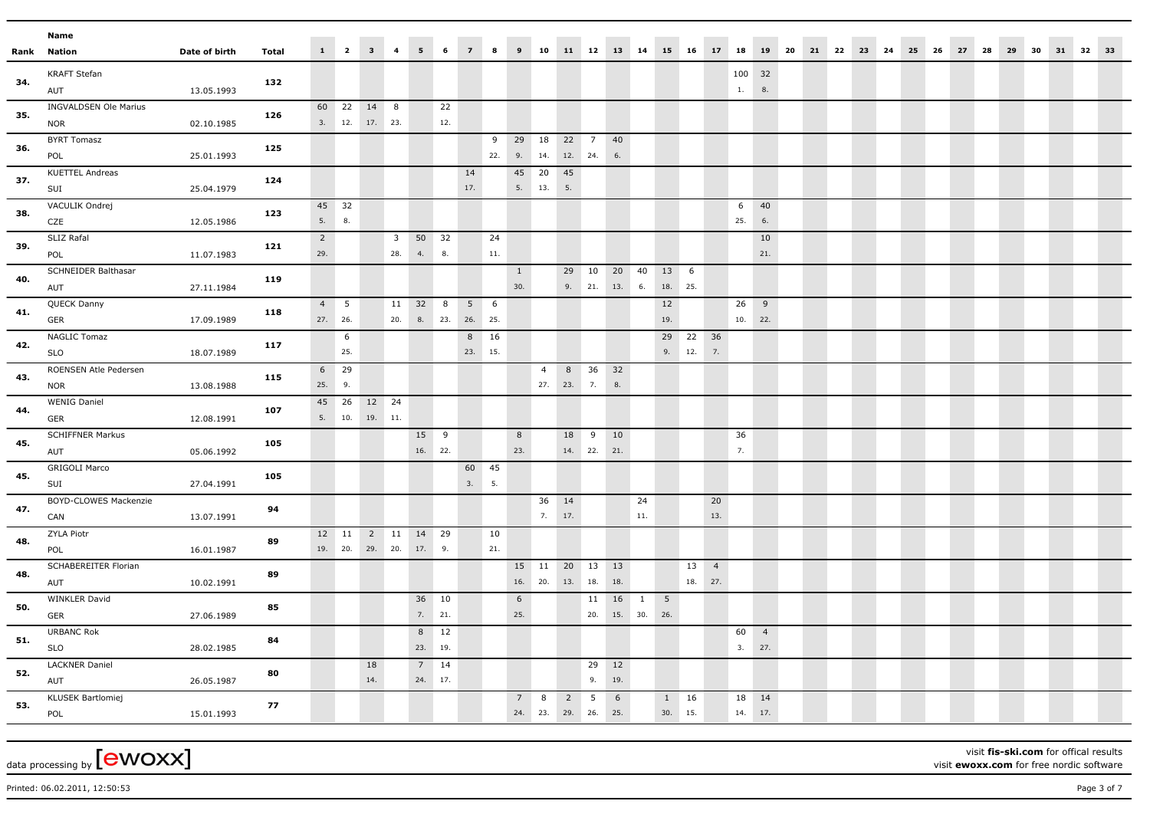|      | Name                                       |               |              |                       |                       |                                                |                                |                          |             |                 |           |                     |                 |                                       |                  |                           |              |                       |                            |           |                   |                |                         |  |  |       |    |    |          |  |  |
|------|--------------------------------------------|---------------|--------------|-----------------------|-----------------------|------------------------------------------------|--------------------------------|--------------------------|-------------|-----------------|-----------|---------------------|-----------------|---------------------------------------|------------------|---------------------------|--------------|-----------------------|----------------------------|-----------|-------------------|----------------|-------------------------|--|--|-------|----|----|----------|--|--|
| Rank | Nation                                     | Date of birth | <b>Total</b> |                       |                       | $1 \qquad 2 \qquad 3 \qquad 4$                 |                                | 5 <sub>5</sub>           | 6           | $\overline{7}$  | 8         | $\overline{9}$      |                 |                                       |                  |                           |              |                       | 10 11 12 13 14 15 16 17 18 |           |                   |                | 19 20 21 22 23 24 25 26 |  |  | 27 28 | 29 | 30 | 31 32 33 |  |  |
| 34.  | <b>KRAFT Stefan</b><br>AUT                 | 13.05.1993    | 132          |                       |                       |                                                |                                |                          |             |                 |           |                     |                 |                                       |                  |                           |              |                       |                            |           | 100 32<br>1.      | 8.             |                         |  |  |       |    |    |          |  |  |
| 35.  | <b>INGVALDSEN Ole Marius</b><br><b>NOR</b> | 02.10.1985    | 126          |                       |                       | 60 22 14 8<br>3. 12. 17. 23.                   |                                |                          | 22<br>12.   |                 |           |                     |                 |                                       |                  |                           |              |                       |                            |           |                   |                |                         |  |  |       |    |    |          |  |  |
| 36.  | <b>BYRT Tomasz</b><br>POL                  | 25.01.1993    | 125          |                       |                       |                                                |                                |                          |             |                 | 9         | 29 18               |                 | 22 7<br>22. 9. 14. 12. 24.            |                  | 40<br>$6.$                |              |                       |                            |           |                   |                |                         |  |  |       |    |    |          |  |  |
| 37.  | <b>KUETTEL Andreas</b><br>SUI              | 25.04.1979    | 124          |                       |                       |                                                |                                |                          |             | 14<br>17.       |           | 45 20               | 5. 13.          | 45<br>5.                              |                  |                           |              |                       |                            |           |                   |                |                         |  |  |       |    |    |          |  |  |
| 38.  | VACULIK Ondrej<br>CZE                      | 12.05.1986    | 123          | 5.                    | 45 32<br>8.           |                                                |                                |                          |             |                 |           |                     |                 |                                       |                  |                           |              |                       |                            |           | 6<br>25.          | 40<br>6.       |                         |  |  |       |    |    |          |  |  |
| 39.  | SLIZ Rafal<br>POL                          | 11.07.1983    | 121          | $\overline{2}$<br>29. |                       |                                                | $\overline{\mathbf{3}}$<br>28. | 50 32<br>4.              | 8.          |                 | 24<br>11. |                     |                 |                                       |                  |                           |              |                       |                            |           |                   | 10<br>21.      |                         |  |  |       |    |    |          |  |  |
| 40.  | SCHNEIDER Balthasar<br>AUT                 | 27.11.1984    | 119          |                       |                       |                                                |                                |                          |             |                 |           | $\mathbf{1}$<br>30. |                 |                                       |                  | 29 10 20 40<br>9. 21. 13. | 6.           | 13 6                  | 18. 25.                    |           |                   |                |                         |  |  |       |    |    |          |  |  |
| 41.  | QUECK Danny<br>GER                         | 17.09.1989    | 118          |                       | $4\quad 5$<br>27. 26. |                                                | 20.                            | 11 32 8<br>8.            | 23. 26. 25. | 5 6             |           |                     |                 |                                       |                  |                           |              | 12<br>19.             |                            |           | $26$ 9<br>10. 22. |                |                         |  |  |       |    |    |          |  |  |
| 42.  | <b>NAGLIC Tomaz</b><br><b>SLO</b>          | 18.07.1989    | 117          |                       | 6<br>25.              |                                                |                                |                          |             | 8 16<br>23. 15. |           |                     |                 |                                       |                  |                           |              | 29                    | 22<br>9. 12.               | 36<br>7.  |                   |                |                         |  |  |       |    |    |          |  |  |
| 43.  | ROENSEN Atle Pedersen<br><b>NOR</b>        | 13.08.1988    | 115          | 6                     | 29<br>25. 9.          |                                                |                                |                          |             |                 |           |                     | $\overline{4}$  | 27. 23. 7.                            | 8 36 32          | 8.                        |              |                       |                            |           |                   |                |                         |  |  |       |    |    |          |  |  |
| 44.  | <b>WENIG Daniel</b><br>GER                 | 12.08.1991    | 107          |                       | 45 26                 | 12 24<br>$5. \qquad 10. \qquad 19. \qquad 11.$ |                                |                          |             |                 |           |                     |                 |                                       |                  |                           |              |                       |                            |           |                   |                |                         |  |  |       |    |    |          |  |  |
| 45.  | <b>SCHIFFNER Markus</b><br>AUT             | 05.06.1992    | 105          |                       |                       |                                                |                                | 15 9<br>16. 22.          |             |                 |           | 8<br>23.            |                 | 18                                    | 9<br>14. 22. 21. | 10                        |              |                       |                            |           | 36<br>7.          |                |                         |  |  |       |    |    |          |  |  |
| 45.  | <b>GRIGOLI Marco</b><br>SUI                | 27.04.1991    | 105          |                       |                       |                                                |                                |                          |             | 60 45<br>3. 5.  |           |                     |                 |                                       |                  |                           |              |                       |                            |           |                   |                |                         |  |  |       |    |    |          |  |  |
| 47.  | <b>BOYD-CLOWES Mackenzie</b><br>CAN        | 13.07.1991    | 94           |                       |                       |                                                |                                |                          |             |                 |           |                     | 36 14<br>7. 17. |                                       |                  |                           | 24<br>$11.$  |                       |                            | 20<br>13. |                   |                |                         |  |  |       |    |    |          |  |  |
| 48.  | ZYLA Piotr<br>POL                          | 16.01.1987    | 89           |                       | 12 11                 | 2 11<br>19. 20. 29. 20. 17. 9.                 |                                | 14 29                    |             |                 | 10<br>21. |                     |                 |                                       |                  |                           |              |                       |                            |           |                   |                |                         |  |  |       |    |    |          |  |  |
| 48.  | SCHABEREITER Florian<br>AUT                | 10.02.1991    | 89           |                       |                       |                                                |                                |                          |             |                 |           |                     | 16. 20.         | 15   11   20   13   13<br>13.         | 18.              | 18.                       |              |                       | 13 4<br>18. 27.            |           |                   |                |                         |  |  |       |    |    |          |  |  |
| 50.  | <b>WINKLER David</b><br>GER                | 27.06.1989    | 85           |                       |                       |                                                |                                | 36 10<br>7. 21.          |             |                 |           | 6<br>25.            |                 |                                       |                  | 11 16<br>20. 15. 30.      | $\mathbf{1}$ | 5 <sup>5</sup><br>26. |                            |           |                   |                |                         |  |  |       |    |    |          |  |  |
| 51.  | <b>URBANC Rok</b><br><b>SLO</b>            | 28.02.1985    | 84           |                       |                       |                                                |                                | 8<br>23. 19.             | 12          |                 |           |                     |                 |                                       |                  |                           |              |                       |                            |           | 60<br>3. 27.      | $\overline{4}$ |                         |  |  |       |    |    |          |  |  |
| 52.  | <b>LACKNER Daniel</b><br>AUT               | 26.05.1987    | 80           |                       |                       | 18<br>14.                                      |                                | $7 \qquad 14$<br>24. 17. |             |                 |           |                     |                 |                                       | 29 12<br>9.      | 19.                       |              |                       |                            |           |                   |                |                         |  |  |       |    |    |          |  |  |
| 53.  | <b>KLUSEK Bartlomiej</b><br>POL            | 15.01.1993    | 77           |                       |                       |                                                |                                |                          |             |                 |           | 7                   | 8               | $\overline{2}$<br>24. 23. 29. 26. 25. | 5                | 6                         |              | 1                     | 16<br>30. 15.              |           | 18 14<br>14. 17.  |                |                         |  |  |       |    |    |          |  |  |

visit **fis-ski.com** for offical results visit **ewoxx.com** for free nordic software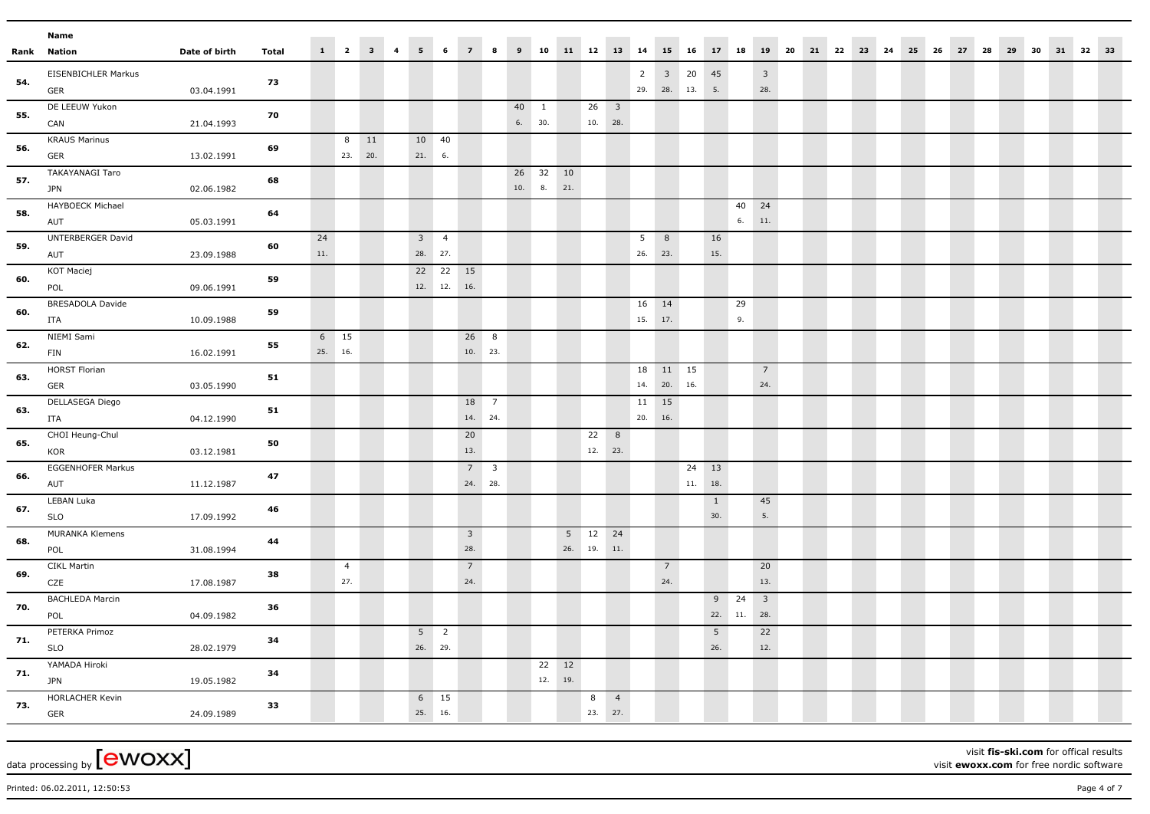|     | Name                                 |               |       |           |                       |                                |                           |                |                        |             |              |                        |              |                         |                |                  |                       |                            |                       |          |                                |  |  |  |  |                                                                           |  |  |  |
|-----|--------------------------------------|---------------|-------|-----------|-----------------------|--------------------------------|---------------------------|----------------|------------------------|-------------|--------------|------------------------|--------------|-------------------------|----------------|------------------|-----------------------|----------------------------|-----------------------|----------|--------------------------------|--|--|--|--|---------------------------------------------------------------------------|--|--|--|
|     | <b>Rank Nation</b>                   | Date of birth | Total |           |                       | $1 \qquad 2 \qquad 3 \qquad 4$ | 5 <sub>5</sub>            | 6              | $\overline{7}$         | $\bf{8}$    |              |                        |              |                         |                |                  |                       |                            |                       |          |                                |  |  |  |  | 9 10 11 12 13 14 15 16 17 18 19 20 21 22 23 24 25 26 27 28 29 30 31 32 33 |  |  |  |
| 54. | EISENBICHLER Markus<br>GER           | 03.04.1991    | 73    |           |                       |                                |                           |                |                        |             |              |                        |              |                         |                | $\overline{2}$   |                       | $3\quad 20$<br>29. 28. 13. | 45<br>5.              |          | $\overline{\mathbf{3}}$<br>28. |  |  |  |  |                                                                           |  |  |  |
| 55. | DE LEEUW Yukon<br>CAN                | 21.04.1993    | 70    |           |                       |                                |                           |                |                        |             | 40<br>6. 30. | $\mathbf{1}$           |              | $26 \quad 3$<br>10. 28. |                |                  |                       |                            |                       |          |                                |  |  |  |  |                                                                           |  |  |  |
| 56. | <b>KRAUS Marinus</b><br>GER          | 13.02.1991    | 69    |           | 8<br>23.              | 11<br>20.                      | 10 40<br>21. 6.           |                |                        |             |              |                        |              |                         |                |                  |                       |                            |                       |          |                                |  |  |  |  |                                                                           |  |  |  |
| 57. | <b>TAKAYANAGI Taro</b><br><b>JPN</b> | 02.06.1982    | 68    |           |                       |                                |                           |                |                        |             |              | 26 32 10<br>10. 8. 21. |              |                         |                |                  |                       |                            |                       |          |                                |  |  |  |  |                                                                           |  |  |  |
| 58. | <b>HAYBOECK Michael</b><br>AUT       | 05.03.1991    | 64    |           |                       |                                |                           |                |                        |             |              |                        |              |                         |                |                  |                       |                            |                       | 40<br>6. | 24<br>11.                      |  |  |  |  |                                                                           |  |  |  |
| 59. | UNTERBERGER David<br>AUT             | 23.09.1988    | 60    | 24<br>11. |                       |                                | $3 \quad 4$<br>28. 27.    |                |                        |             |              |                        |              |                         |                | 5<br>26. 23.     | 8                     |                            | 16<br>15.             |          |                                |  |  |  |  |                                                                           |  |  |  |
| 60. | KOT Maciej<br>POL                    | 09.06.1991    | 59    |           |                       |                                | 12. 12.                   | 22 22 15       | 16.                    |             |              |                        |              |                         |                |                  |                       |                            |                       |          |                                |  |  |  |  |                                                                           |  |  |  |
| 60. | BRESADOLA Davide<br>ITA              | 10.09.1988    | 59    |           |                       |                                |                           |                |                        |             |              |                        |              |                         |                | 16 14<br>15. 17. |                       |                            |                       | 29<br>9. |                                |  |  |  |  |                                                                           |  |  |  |
| 62. | NIEMI Sami<br>FIN                    | 16.02.1991    | 55    |           | 6 15<br>25. 16.       |                                |                           |                | 26 8<br>10. 23.        |             |              |                        |              |                         |                |                  |                       |                            |                       |          |                                |  |  |  |  |                                                                           |  |  |  |
| 63. | <b>HORST Florian</b><br>GER          | 03.05.1990    | 51    |           |                       |                                |                           |                |                        |             |              |                        |              |                         |                | 18<br>14.        |                       | 11 15<br>20. 16.           |                       |          | $7\overline{ }$<br>24.         |  |  |  |  |                                                                           |  |  |  |
| 63. | DELLASEGA Diego<br><b>ITA</b>        | 04.12.1990    | 51    |           |                       |                                |                           |                | 18 7<br>14. 24.        |             |              |                        |              |                         |                | 11<br>20.        | 15<br>16.             |                            |                       |          |                                |  |  |  |  |                                                                           |  |  |  |
| 65. | CHOI Heung-Chul<br>KOR               | 03.12.1981    | 50    |           |                       |                                |                           |                | 20<br>13.              |             |              |                        |              | 22<br>12. 23.           | 8              |                  |                       |                            |                       |          |                                |  |  |  |  |                                                                           |  |  |  |
| 66. | <b>EGGENHOFER Markus</b><br>AUT      | 11.12.1987    | 47    |           |                       |                                |                           |                | 24. 28.                | $7 \quad 3$ |              |                        |              |                         |                |                  |                       | 24 13<br>11.               | 18.                   |          |                                |  |  |  |  |                                                                           |  |  |  |
| 67. | LEBAN Luka<br><b>SLO</b>             | 17.09.1992    | 46    |           |                       |                                |                           |                |                        |             |              |                        |              |                         |                |                  |                       |                            | $\mathbf{1}$<br>30.   |          | 45<br>5.                       |  |  |  |  |                                                                           |  |  |  |
| 68. | MURANKA Klemens<br>POL               | 31.08.1994    | 44    |           |                       |                                |                           |                | 3 <sup>1</sup><br>28.  |             |              |                        |              | 5 12 24<br>26. 19. 11.  |                |                  |                       |                            |                       |          |                                |  |  |  |  |                                                                           |  |  |  |
| 69. | <b>CIKL Martin</b><br>CZE            | 17.08.1987    | 38    |           | $\overline{4}$<br>27. |                                |                           |                | $7\overline{ }$<br>24. |             |              |                        |              |                         |                |                  | $\overline{7}$<br>24. |                            |                       |          | 20<br>13.                      |  |  |  |  |                                                                           |  |  |  |
| 70. | <b>BACHLEDA Marcin</b><br>POL        | 04.09.1982    | 36    |           |                       |                                |                           |                |                        |             |              |                        |              |                         |                |                  |                       |                            | 22. 11.               | $9$ 24   | $\overline{\mathbf{3}}$<br>28. |  |  |  |  |                                                                           |  |  |  |
| 71. | PETERKA Primoz<br><b>SLO</b>         | 28.02.1979    | 34    |           |                       |                                | 5 <sup>5</sup><br>26. 29. | $\overline{2}$ |                        |             |              |                        |              |                         |                |                  |                       |                            | 5 <sup>5</sup><br>26. |          | 22<br>12.                      |  |  |  |  |                                                                           |  |  |  |
| 71. | YAMADA Hiroki<br><b>JPN</b>          | 19.05.1982    | 34    |           |                       |                                |                           |                |                        |             |              | 12.                    | 22 12<br>19. |                         |                |                  |                       |                            |                       |          |                                |  |  |  |  |                                                                           |  |  |  |
| 73. | HORLACHER Kevin<br>GER               | 24.09.1989    | 33    |           |                       |                                | 25. 16.                   | $6 \qquad 15$  |                        |             |              |                        |              | 8<br>23. 27.            | $\overline{4}$ |                  |                       |                            |                       |          |                                |  |  |  |  |                                                                           |  |  |  |

visit **fis-ski.com** for offical results visit **ewoxx.com** for free nordic software

Printed: 06.02.2011, 12:50:53 Page 4 of 7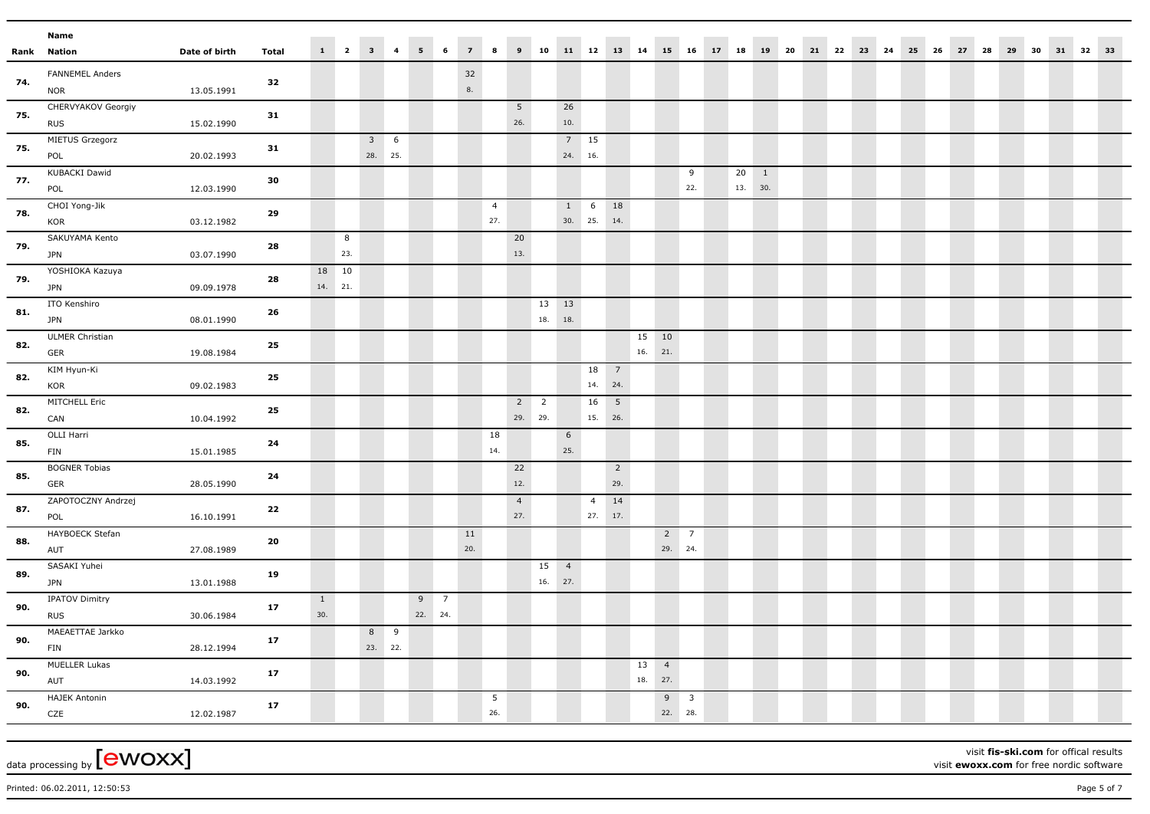|     | Name                                         |               |              |     |                  |                                |                |   |                |                       |                       |             |                |                  |                 |     |                  |                                                                           |               |                |  |  |  |  |  |  |  |  |
|-----|----------------------------------------------|---------------|--------------|-----|------------------|--------------------------------|----------------|---|----------------|-----------------------|-----------------------|-------------|----------------|------------------|-----------------|-----|------------------|---------------------------------------------------------------------------|---------------|----------------|--|--|--|--|--|--|--|--|
|     | <b>Rank Nation</b>                           | Date of birth | <b>Total</b> |     |                  | $1 \qquad 2 \qquad 3 \qquad 4$ | 5 <sub>1</sub> | 6 | $\overline{z}$ | 8                     |                       |             |                |                  |                 |     |                  | 9 10 11 12 13 14 15 16 17 18 19 20 21 22 23 24 25 26 27 28 29 30 31 32 33 |               |                |  |  |  |  |  |  |  |  |
| 74. | FANNEMEL Anders<br><b>NOR</b>                | 13.05.1991    | 32           |     |                  |                                |                |   | 32<br>8.       |                       |                       |             |                |                  |                 |     |                  |                                                                           |               |                |  |  |  |  |  |  |  |  |
| 75. | CHERVYAKOV Georgiy<br><b>RUS</b>             | 15.02.1990    | 31           |     |                  |                                |                |   |                |                       | 5 <sub>5</sub><br>26. |             | 26<br>$10.$    |                  |                 |     |                  |                                                                           |               |                |  |  |  |  |  |  |  |  |
| 75. | MIETUS Grzegorz<br>POL                       | 20.02.1993    | 31           |     |                  | $3 \t 6$<br>28. 25.            |                |   |                |                       |                       |             | 24. 16.        | $7 \quad 15$     |                 |     |                  |                                                                           |               |                |  |  |  |  |  |  |  |  |
| 77. | KUBACKI Dawid<br>POL                         | 12.03.1990    | 30           |     |                  |                                |                |   |                |                       |                       |             |                |                  |                 |     |                  | 9<br>22.                                                                  | 20<br>13. 30. | $\overline{1}$ |  |  |  |  |  |  |  |  |
| 78. | CHOI Yong-Jik<br>KOR                         | 03.12.1982    | 29           |     |                  |                                |                |   |                | $\overline{4}$<br>27. |                       |             | 1              | 6<br>30. 25. 14. | 18              |     |                  |                                                                           |               |                |  |  |  |  |  |  |  |  |
| 79. | SAKUYAMA Kento<br><b>JPN</b>                 | 03.07.1990    | 28           |     | 8<br>23.         |                                |                |   |                |                       | 20<br>13.             |             |                |                  |                 |     |                  |                                                                           |               |                |  |  |  |  |  |  |  |  |
| 79. | YOSHIOKA Kazuya<br><b>JPN</b>                | 09.09.1978    | 28           |     | 18 10<br>14. 21. |                                |                |   |                |                       |                       |             |                |                  |                 |     |                  |                                                                           |               |                |  |  |  |  |  |  |  |  |
| 81. | ITO Kenshiro<br><b>JPN</b>                   | 08.01.1990    | 26           |     |                  |                                |                |   |                |                       |                       | 13<br>18.   | 13<br>18.      |                  |                 |     |                  |                                                                           |               |                |  |  |  |  |  |  |  |  |
| 82. | <b>ULMER Christian</b><br>GER<br>KIM Hyun-Ki | 19.08.1984    | 25           |     |                  |                                |                |   |                |                       |                       |             |                | 18               | $\overline{7}$  |     | 15 10<br>16. 21. |                                                                           |               |                |  |  |  |  |  |  |  |  |
| 82. | KOR<br>MITCHELL Eric                         | 09.02.1983    | 25           |     |                  |                                |                |   |                |                       |                       | $2 \quad 2$ |                | 14. 24.<br>16    | $5\overline{5}$ |     |                  |                                                                           |               |                |  |  |  |  |  |  |  |  |
| 82. | CAN<br>OLLI Harri                            | 10.04.1992    | 25           |     |                  |                                |                |   |                | 18                    | 29. 29.               |             | 6              |                  | 15. 26.         |     |                  |                                                                           |               |                |  |  |  |  |  |  |  |  |
| 85. | <b>FIN</b><br><b>BOGNER Tobias</b>           | 15.01.1985    | 24           |     |                  |                                |                |   |                | 14.                   | 22                    |             | 25.            |                  | $\overline{2}$  |     |                  |                                                                           |               |                |  |  |  |  |  |  |  |  |
| 85. | GER<br>ZAPOTOCZNY Andrzej                    | 28.05.1990    | 24           |     |                  |                                |                |   |                |                       | 12.<br>$\overline{4}$ |             |                | $\overline{4}$   | 29.<br>14       |     |                  |                                                                           |               |                |  |  |  |  |  |  |  |  |
| 87. | POL<br>HAYBOECK Stefan                       | 16.10.1991    | 22           |     |                  |                                |                |   | 11             |                       | 27.                   |             |                | 27. 17.          |                 |     |                  | $2 \overline{7}$                                                          |               |                |  |  |  |  |  |  |  |  |
| 88. | AUT<br>SASAKI Yuhei                          | 27.08.1989    | 20           |     |                  |                                |                |   | 20.            |                       |                       | 15          | $\overline{4}$ |                  |                 |     |                  | 29. 24.                                                                   |               |                |  |  |  |  |  |  |  |  |
| 89. | <b>JPN</b><br><b>IPATOV Dimitry</b>          | 13.01.1988    | 19           | 1   |                  |                                | $9 \quad 7$    |   |                |                       |                       | 16. 27.     |                |                  |                 |     |                  |                                                                           |               |                |  |  |  |  |  |  |  |  |
| 90. | <b>RUS</b><br>MAEAETTAE Jarkko               | 30.06.1984    | 17           | 30. |                  | 8 9                            | 22. 24.        |   |                |                       |                       |             |                |                  |                 |     |                  |                                                                           |               |                |  |  |  |  |  |  |  |  |
| 90. | <b>FIN</b><br><b>MUELLER Lukas</b>           | 28.12.1994    | 17           |     |                  | 23. 22.                        |                |   |                |                       |                       |             |                |                  |                 | 13  | $\overline{4}$   |                                                                           |               |                |  |  |  |  |  |  |  |  |
| 90. | AUT<br><b>HAJEK Antonin</b>                  | 14.03.1992    | 17           |     |                  |                                |                |   |                | 5                     |                       |             |                |                  |                 | 18. | 27.<br>9         | $\overline{\mathbf{3}}$                                                   |               |                |  |  |  |  |  |  |  |  |
| 90. | CZE                                          | 12.02.1987    | 17           |     |                  |                                |                |   |                | 26.                   |                       |             |                |                  |                 |     |                  | 22. 28.                                                                   |               |                |  |  |  |  |  |  |  |  |

visit **fis-ski.com** for offical results visit **ewoxx.com** for free nordic software

Printed: 06.02.2011, 12:50:53 Page 5 of 7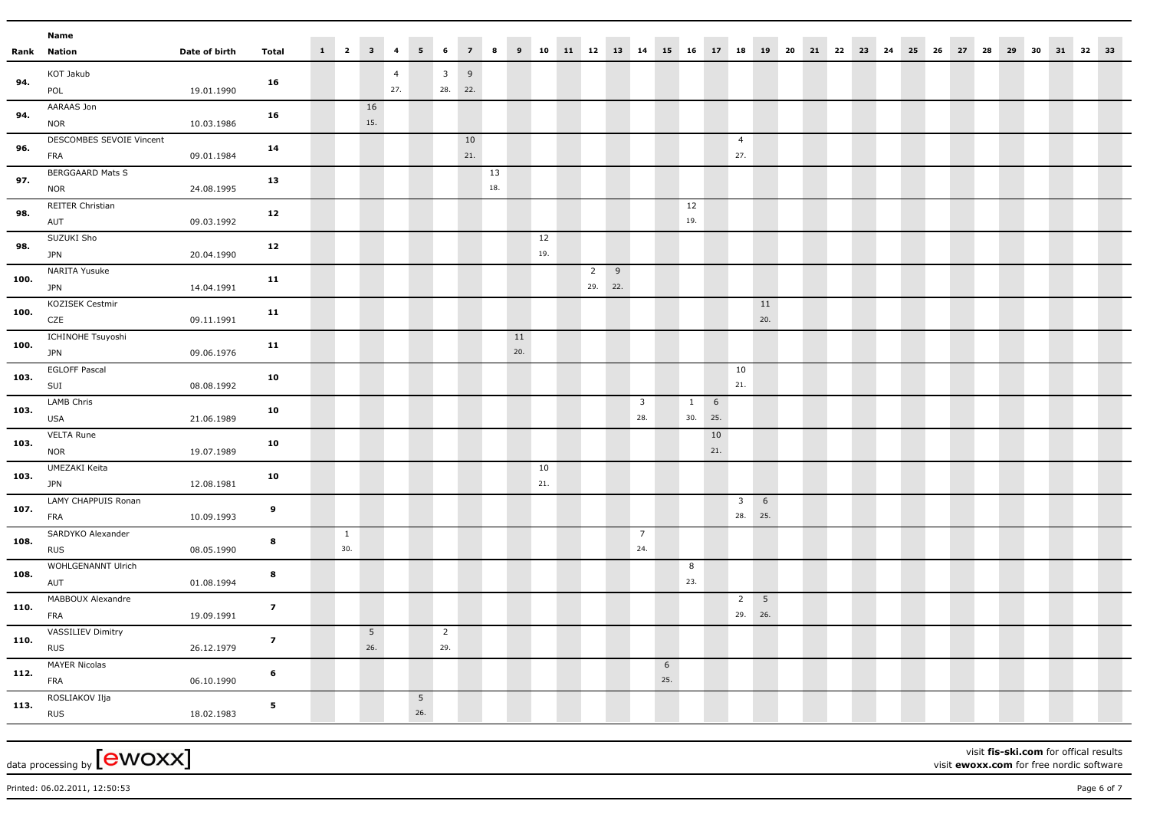|      | Name                           |               |                         |              |                            |                |                |                |                |           |     |           |                |   |                         |                      |              |           |                |             |                               |  |  |  |  |  |                |  |  |
|------|--------------------------------|---------------|-------------------------|--------------|----------------------------|----------------|----------------|----------------|----------------|-----------|-----|-----------|----------------|---|-------------------------|----------------------|--------------|-----------|----------------|-------------|-------------------------------|--|--|--|--|--|----------------|--|--|
|      | <b>Rank Nation</b>             | Date of birth | <b>Total</b>            | $1 \quad 2$  | $\overline{\phantom{a}}$ 3 | $\overline{4}$ | 5 <sub>1</sub> | 6              | $\overline{z}$ | 8         | 9   |           |                |   |                         | 10 11 12 13 14 15 16 |              | 17 18     |                |             | 19 20 21 22 23 24 25 26 27 28 |  |  |  |  |  | 29 30 31 32 33 |  |  |
|      | KOT Jakub                      |               |                         |              |                            | $\overline{4}$ |                | 3 <sup>1</sup> | 9              |           |     |           |                |   |                         |                      |              |           |                |             |                               |  |  |  |  |  |                |  |  |
| 94.  | POL                            | 19.01.1990    | 16                      |              |                            | 27.            |                | 28.            | 22.            |           |     |           |                |   |                         |                      |              |           |                |             |                               |  |  |  |  |  |                |  |  |
| 94.  | AARAAS Jon                     |               | 16                      |              | 16                         |                |                |                |                |           |     |           |                |   |                         |                      |              |           |                |             |                               |  |  |  |  |  |                |  |  |
|      | <b>NOR</b>                     | 10.03.1986    |                         |              | 15.                        |                |                |                |                |           |     |           |                |   |                         |                      |              |           |                |             |                               |  |  |  |  |  |                |  |  |
| 96.  | DESCOMBES SEVOIE Vincent       |               | 14                      |              |                            |                |                |                | 10             |           |     |           |                |   |                         |                      |              |           | $\overline{4}$ |             |                               |  |  |  |  |  |                |  |  |
|      | FRA                            | 09.01.1984    |                         |              |                            |                |                |                | 21.            |           |     |           |                |   |                         |                      |              |           | 27.            |             |                               |  |  |  |  |  |                |  |  |
| 97.  | <b>BERGGAARD Mats S</b>        |               | 13                      |              |                            |                |                |                |                | 13<br>18. |     |           |                |   |                         |                      |              |           |                |             |                               |  |  |  |  |  |                |  |  |
|      | <b>NOR</b><br>REITER Christian | 24.08.1995    |                         |              |                            |                |                |                |                |           |     |           |                |   |                         |                      |              |           |                |             |                               |  |  |  |  |  |                |  |  |
| 98.  | AUT                            | 09.03.1992    | $12$                    |              |                            |                |                |                |                |           |     |           |                |   |                         |                      | 12<br>19.    |           |                |             |                               |  |  |  |  |  |                |  |  |
|      | SUZUKI Sho                     |               |                         |              |                            |                |                |                |                |           |     | 12        |                |   |                         |                      |              |           |                |             |                               |  |  |  |  |  |                |  |  |
| 98.  | <b>JPN</b>                     | 20.04.1990    | $12$                    |              |                            |                |                |                |                |           |     | 19.       |                |   |                         |                      |              |           |                |             |                               |  |  |  |  |  |                |  |  |
| 100. | NARITA Yusuke                  |               | 11                      |              |                            |                |                |                |                |           |     |           | $\overline{2}$ | 9 |                         |                      |              |           |                |             |                               |  |  |  |  |  |                |  |  |
|      | <b>JPN</b>                     | 14.04.1991    |                         |              |                            |                |                |                |                |           |     |           | 29. 22.        |   |                         |                      |              |           |                |             |                               |  |  |  |  |  |                |  |  |
| 100. | KOZISEK Cestmir<br>CZE         | 09.11.1991    | 11                      |              |                            |                |                |                |                |           |     |           |                |   |                         |                      |              |           |                | 11<br>20.   |                               |  |  |  |  |  |                |  |  |
|      | ICHINOHE Tsuyoshi              |               |                         |              |                            |                |                |                |                |           | 11  |           |                |   |                         |                      |              |           |                |             |                               |  |  |  |  |  |                |  |  |
| 100. | <b>JPN</b>                     | 09.06.1976    | 11                      |              |                            |                |                |                |                |           | 20. |           |                |   |                         |                      |              |           |                |             |                               |  |  |  |  |  |                |  |  |
| 103. | <b>EGLOFF Pascal</b>           |               | 10                      |              |                            |                |                |                |                |           |     |           |                |   |                         |                      |              |           | 10             |             |                               |  |  |  |  |  |                |  |  |
|      | SUI                            | 08.08.1992    |                         |              |                            |                |                |                |                |           |     |           |                |   |                         |                      |              |           | 21.            |             |                               |  |  |  |  |  |                |  |  |
| 103. | LAMB Chris                     |               | 10                      |              |                            |                |                |                |                |           |     |           |                |   | $\overline{\mathbf{3}}$ |                      | $\mathbf{1}$ | 6         |                |             |                               |  |  |  |  |  |                |  |  |
|      | USA                            | 21.06.1989    |                         |              |                            |                |                |                |                |           |     |           |                |   | 28.                     |                      | 30.          | 25.       |                |             |                               |  |  |  |  |  |                |  |  |
| 103. | <b>VELTA Rune</b>              |               | 10                      |              |                            |                |                |                |                |           |     |           |                |   |                         |                      |              | 10<br>21. |                |             |                               |  |  |  |  |  |                |  |  |
|      | <b>NOR</b>                     | 19.07.1989    |                         |              |                            |                |                |                |                |           |     |           |                |   |                         |                      |              |           |                |             |                               |  |  |  |  |  |                |  |  |
| 103. | UMEZAKI Keita<br><b>JPN</b>    | 12.08.1981    | 10                      |              |                            |                |                |                |                |           |     | 10<br>21. |                |   |                         |                      |              |           |                |             |                               |  |  |  |  |  |                |  |  |
|      | LAMY CHAPPUIS Ronan            |               |                         |              |                            |                |                |                |                |           |     |           |                |   |                         |                      |              |           | $\overline{3}$ | 6           |                               |  |  |  |  |  |                |  |  |
| 107. | FRA                            | 10.09.1993    | $\boldsymbol{9}$        |              |                            |                |                |                |                |           |     |           |                |   |                         |                      |              |           | 28.            | 25.         |                               |  |  |  |  |  |                |  |  |
|      | SARDYKO Alexander              |               |                         | $\mathbf{1}$ |                            |                |                |                |                |           |     |           |                |   | $\overline{7}$          |                      |              |           |                |             |                               |  |  |  |  |  |                |  |  |
| 108. | <b>RUS</b>                     | 08.05.1990    | 8                       | 30.          |                            |                |                |                |                |           |     |           |                |   | 24.                     |                      |              |           |                |             |                               |  |  |  |  |  |                |  |  |
|      | WOHLGENANNT Ulrich             |               |                         |              |                            |                |                |                |                |           |     |           |                |   |                         |                      | 8            |           |                |             |                               |  |  |  |  |  |                |  |  |
| 108. | AUT                            | 01.08.1994    | 8                       |              |                            |                |                |                |                |           |     |           |                |   |                         |                      | 23.          |           |                |             |                               |  |  |  |  |  |                |  |  |
| 110. | MABBOUX Alexandre              |               | $\overline{z}$          |              |                            |                |                |                |                |           |     |           |                |   |                         |                      |              |           | $\overline{2}$ | $5^{\circ}$ |                               |  |  |  |  |  |                |  |  |
|      | FRA                            | 19.09.1991    |                         |              |                            |                |                |                |                |           |     |           |                |   |                         |                      |              |           | 29.            | 26.         |                               |  |  |  |  |  |                |  |  |
| 110. | VASSILIEV Dimitry              |               | $\overline{\mathbf{z}}$ |              | 5                          |                |                | $\overline{2}$ |                |           |     |           |                |   |                         |                      |              |           |                |             |                               |  |  |  |  |  |                |  |  |
|      | <b>RUS</b>                     | 26.12.1979    |                         |              | 26.                        |                |                | 29.            |                |           |     |           |                |   |                         |                      |              |           |                |             |                               |  |  |  |  |  |                |  |  |
| 112. | <b>MAYER Nicolas</b>           |               | 6                       |              |                            |                |                |                |                |           |     |           |                |   |                         | 6                    |              |           |                |             |                               |  |  |  |  |  |                |  |  |
|      | FRA                            | 06.10.1990    |                         |              |                            |                |                |                |                |           |     |           |                |   |                         | 25.                  |              |           |                |             |                               |  |  |  |  |  |                |  |  |
| 113. | ROSLIAKOV Ilja                 |               | 5                       |              |                            |                | 5<br>26.       |                |                |           |     |           |                |   |                         |                      |              |           |                |             |                               |  |  |  |  |  |                |  |  |
|      | <b>RUS</b>                     | 18.02.1983    |                         |              |                            |                |                |                |                |           |     |           |                |   |                         |                      |              |           |                |             |                               |  |  |  |  |  |                |  |  |

visit **fis-ski.com** for offical results visit **ewoxx.com** for free nordic software